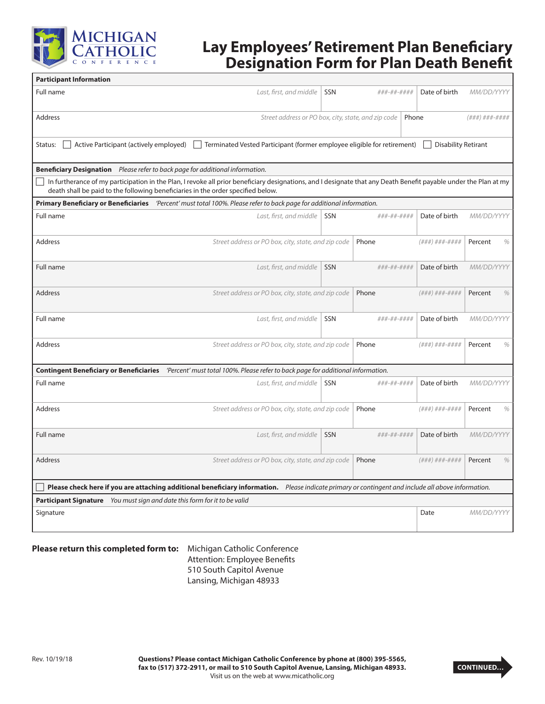

# **Lay Employees' Retirement Plan Beneficiary Designation Form for Plan Death Benefit**

| <b>Participant Information</b>                                                                                                                                                                                                                       |                                                     |            |             |               |                   |   |
|------------------------------------------------------------------------------------------------------------------------------------------------------------------------------------------------------------------------------------------------------|-----------------------------------------------------|------------|-------------|---------------|-------------------|---|
| Full name                                                                                                                                                                                                                                            | Last, first, and middle                             | SSN        | ###-##-#### | Date of birth | MM/DD/YYYY        |   |
| Address                                                                                                                                                                                                                                              | Street address or PO box, city, state, and zip code |            |             | Phone         | (###)###-####     |   |
| Active Participant (actively employed)<br>Terminated Vested Participant (former employee eligible for retirement)<br><b>Disability Retirant</b><br>Status:                                                                                           |                                                     |            |             |               |                   |   |
| <b>Beneficiary Designation</b> Please refer to back page for additional information.                                                                                                                                                                 |                                                     |            |             |               |                   |   |
| In furtherance of my participation in the Plan, I revoke all prior beneficiary designations, and I designate that any Death Benefit payable under the Plan at my<br>death shall be paid to the following beneficiaries in the order specified below. |                                                     |            |             |               |                   |   |
| Primary Beneficiary or Beneficiaries (Percent' must total 100%. Please refer to back page for additional information.                                                                                                                                |                                                     |            |             |               |                   |   |
| Full name                                                                                                                                                                                                                                            | Last, first, and middle                             | SSN        | ###-##-#### | Date of birth | MM/DD/YYYY        |   |
| Address                                                                                                                                                                                                                                              | Street address or PO box, city, state, and zip code |            | Phone       | (###)###-#### | Percent           | % |
| Full name                                                                                                                                                                                                                                            | Last, first, and middle                             | SSN        | ###-##-#### | Date of birth | MM/DD/YYYY        |   |
| <b>Address</b>                                                                                                                                                                                                                                       | Street address or PO box, city, state, and zip code |            | Phone       | (###)###-#### | Percent           | % |
| Full name                                                                                                                                                                                                                                            | Last, first, and middle                             | SSN        | ###-##-#### | Date of birth | MM/DD/YYYY        |   |
| Address                                                                                                                                                                                                                                              | Street address or PO box, city, state, and zip code |            | Phone       | (###)###-#### | Percent           | % |
| Contingent Beneficiary or Beneficiaries 'Percent' must total 100%. Please refer to back page for additional information.                                                                                                                             |                                                     |            |             |               |                   |   |
| Full name                                                                                                                                                                                                                                            | Last, first, and middle                             | <b>SSN</b> | ###-##-#### | Date of birth | MM/DD/YYYY        |   |
| <b>Address</b>                                                                                                                                                                                                                                       | Street address or PO box, city, state, and zip code |            | Phone       | (###)###-#### | Percent           | % |
| Full name                                                                                                                                                                                                                                            | Last, first, and middle                             | <b>SSN</b> | ###-##-#### | Date of birth | MM/DD/YYYY        |   |
| <b>Address</b>                                                                                                                                                                                                                                       | Street address or PO box, city, state, and zip code |            | Phone       | (###)###-#### | Percent           | % |
| Please check here if you are attaching additional beneficiary information. Please indicate primary or contingent and include all above information.                                                                                                  |                                                     |            |             |               |                   |   |
| Participant Signature You must sign and date this form for it to be valid                                                                                                                                                                            |                                                     |            |             |               |                   |   |
| Signature                                                                                                                                                                                                                                            |                                                     |            |             | Date          | <i>MM/DD/YYYY</i> |   |

#### **Please return this completed form to:** Michigan Catholic Conference

Attention: Employee Benefits 510 South Capitol Avenue Lansing, Michigan 48933